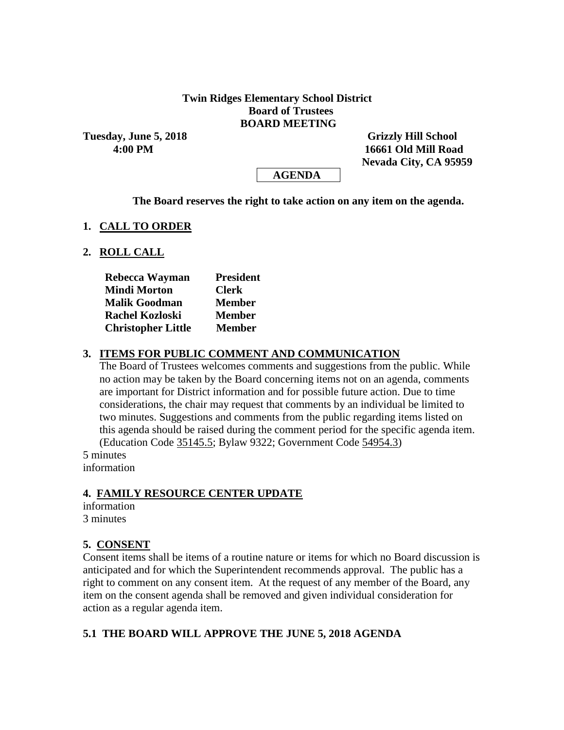#### **Twin Ridges Elementary School District Board of Trustees BOARD MEETING**

Tuesday, June 5, 2018 **Grizzly Hill School** 

 **4:00 PM 16661 Old Mill Road Nevada City, CA 95959**

 **AGENDA**

**The Board reserves the right to take action on any item on the agenda.**

#### **1. CALL TO ORDER**

#### **2. ROLL CALL**

| Rebecca Wayman            | <b>President</b> |  |  |  |
|---------------------------|------------------|--|--|--|
| <b>Mindi Morton</b>       | <b>Clerk</b>     |  |  |  |
| <b>Malik Goodman</b>      | <b>Member</b>    |  |  |  |
| <b>Rachel Kozloski</b>    | <b>Member</b>    |  |  |  |
| <b>Christopher Little</b> | <b>Member</b>    |  |  |  |

#### **3. ITEMS FOR PUBLIC COMMENT AND COMMUNICATION**

The Board of Trustees welcomes comments and suggestions from the public. While no action may be taken by the Board concerning items not on an agenda, comments are important for District information and for possible future action. Due to time considerations, the chair may request that comments by an individual be limited to two minutes. Suggestions and comments from the public regarding items listed on this agenda should be raised during the comment period for the specific agenda item. (Education Code 35145.5; Bylaw 9322; Government Code 54954.3)

5 minutes information

#### **4. FAMILY RESOURCE CENTER UPDATE**

information 3 minutes

#### **5. CONSENT**

Consent items shall be items of a routine nature or items for which no Board discussion is anticipated and for which the Superintendent recommends approval. The public has a right to comment on any consent item. At the request of any member of the Board, any item on the consent agenda shall be removed and given individual consideration for action as a regular agenda item.

#### **5.1 THE BOARD WILL APPROVE THE JUNE 5, 2018 AGENDA**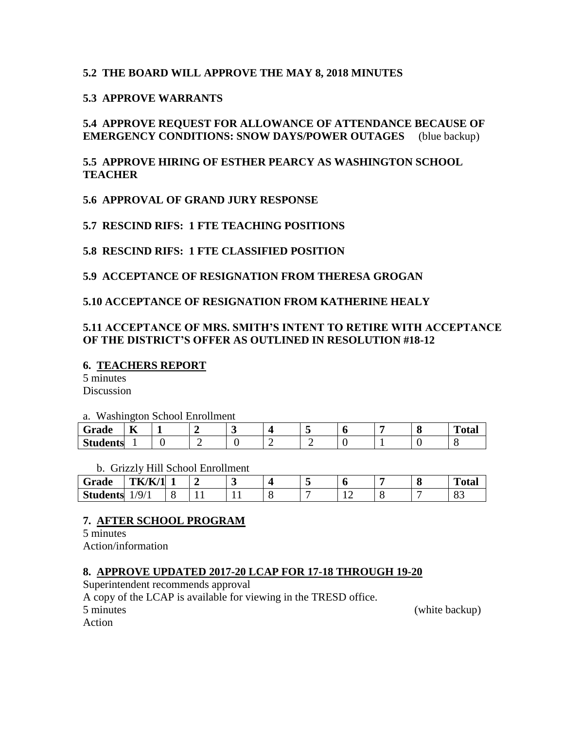# **5.2 THE BOARD WILL APPROVE THE MAY 8, 2018 MINUTES**

# **5.3 APPROVE WARRANTS**

# **5.4 APPROVE REQUEST FOR ALLOWANCE OF ATTENDANCE BECAUSE OF EMERGENCY CONDITIONS: SNOW DAYS/POWER OUTAGES** (blue backup)

# **5.5 APPROVE HIRING OF ESTHER PEARCY AS WASHINGTON SCHOOL TEACHER**

**5.6 APPROVAL OF GRAND JURY RESPONSE**

**5.7 RESCIND RIFS: 1 FTE TEACHING POSITIONS**

**5.8 RESCIND RIFS: 1 FTE CLASSIFIED POSITION**

**5.9 ACCEPTANCE OF RESIGNATION FROM THERESA GROGAN**

## **5.10 ACCEPTANCE OF RESIGNATION FROM KATHERINE HEALY**

# **5.11 ACCEPTANCE OF MRS. SMITH'S INTENT TO RETIRE WITH ACCEPTANCE OF THE DISTRICT'S OFFER AS OUTLINED IN RESOLUTION #18-12**

#### **6. TEACHERS REPORT**

5 minutes Discussion

a. Washington School Enrollment

| Grade           | $\mathbf{r}$<br>A |  |  |  |  | $\mathbf{r}$<br>`otal |
|-----------------|-------------------|--|--|--|--|-----------------------|
| <b>Students</b> |                   |  |  |  |  |                       |

b. Grizzly Hill School Enrollment

| Grade           | <b>TK/K/1</b> |     |  | - |     | C | <b>TITLE</b><br>'otal |
|-----------------|---------------|-----|--|---|-----|---|-----------------------|
| <b>Students</b> | /9/1          | . . |  |   | . . | - | υJ                    |

# **7. AFTER SCHOOL PROGRAM**

5 minutes Action/information

# **8. APPROVE UPDATED 2017-20 LCAP FOR 17-18 THROUGH 19-20**

Superintendent recommends approval

A copy of the LCAP is available for viewing in the TRESD office.

5 minutes (white backup)

Action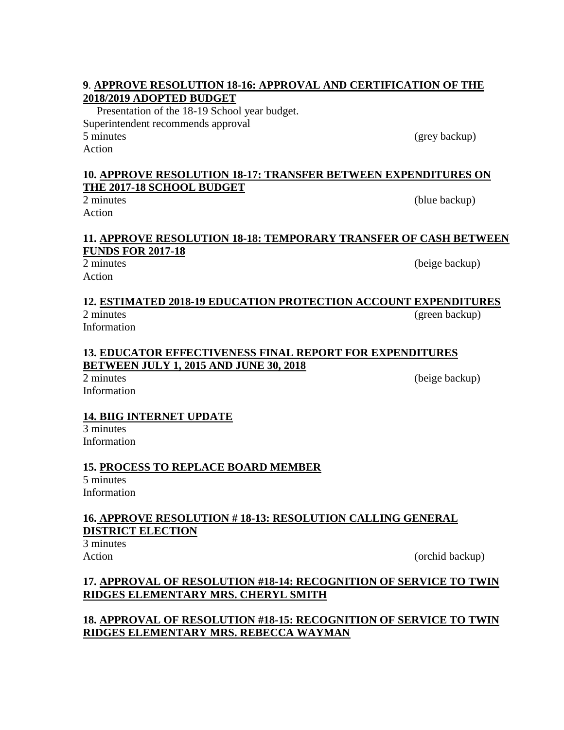# **9**. **APPROVE RESOLUTION 18-16: APPROVAL AND CERTIFICATION OF THE 2018/2019 ADOPTED BUDGET**

Presentation of the 18-19 School year budget. Superintendent recommends approval 5 minutes (grey backup) Action

# **10. APPROVE RESOLUTION 18-17: TRANSFER BETWEEN EXPENDITURES ON THE 2017-18 SCHOOL BUDGET**

Action

# **11. APPROVE RESOLUTION 18-18: TEMPORARY TRANSFER OF CASH BETWEEN FUNDS FOR 2017-18**

Action

2 minutes (beige backup)

# **12. ESTIMATED 2018-19 EDUCATION PROTECTION ACCOUNT EXPENDITURES**  2 minutes (green backup)

Information

## **13. EDUCATOR EFFECTIVENESS FINAL REPORT FOR EXPENDITURES BETWEEN JULY 1, 2015 AND JUNE 30, 2018**

Information

2 minutes (beige backup)

# **14. BIIG INTERNET UPDATE**

3 minutes Information

# **15. PROCESS TO REPLACE BOARD MEMBER**

5 minutes Information

# **16. APPROVE RESOLUTION # 18-13: RESOLUTION CALLING GENERAL DISTRICT ELECTION**

3 minutes

Action (orchid backup)

# **17. APPROVAL OF RESOLUTION #18-14: RECOGNITION OF SERVICE TO TWIN RIDGES ELEMENTARY MRS. CHERYL SMITH**

# **18. APPROVAL OF RESOLUTION #18-15: RECOGNITION OF SERVICE TO TWIN RIDGES ELEMENTARY MRS. REBECCA WAYMAN**

(blue backup)